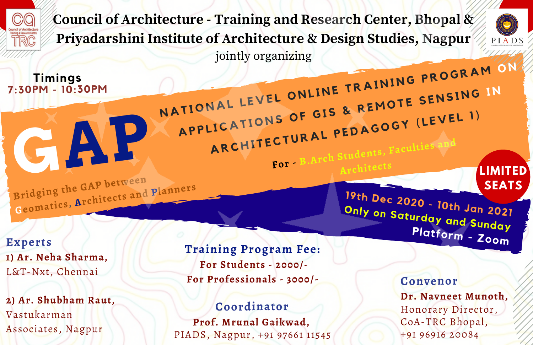

NATIONAL LEVEL ONLINE TRAINING PROGRAM ON **Council of Architecture - Training and Research Center, Bhopal & Priyadarshini Institute of Architecture & Design Studies, Nagpur** jointly organizing

TIONAL LEVEL ONLINE TRAINS SENSING IN

For - B.Arch Student

ICATIONS OF GIS & MET (LEVEL 1)

**O 19 n t l h y**

**D o e n c S**

**For - B.Arc<sup>h</sup> Students, Faculties and**



**SEATS**

**LIMITED** ARCHITECTURAL PEDAGOGY (LEVEL 1) **Bridging the GAP between Geomatics, Architects and Planners**

CAP

**Timings 7:30PM - 10:30PM**

**1) Ar. Neha Sharma,** L&T-Nxt, Chennai **Experts**

**2) Ar. Shubham Raut,** Vastukarman Associates, Nagpur

**Training Program Fee: For Students - 2000/- For Professionals - 3000/-**

# **Coordinator**

**Prof. Mrunal Gaikwad,** PIADS, Nagpur, +91 97661 11545

**Dr. Navneet Munoth,** Honorary Director, CoA-TRC Bhopal, +91 96916 20084 **Convenor**

**Platform - Zoom**

**2 020 - 10th Jan <sup>2021</sup> a turday and Sunday**